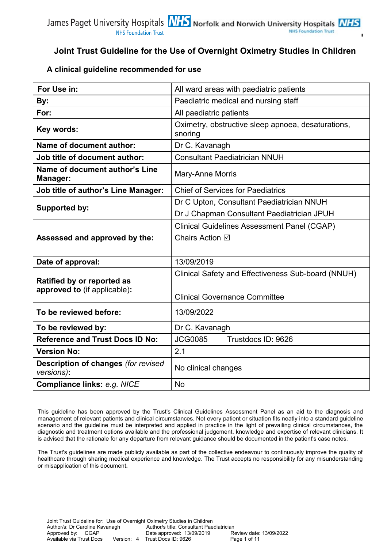### **A clinical guideline recommended for use**

| For Use in:                                                | All ward areas with paediatric patients                       |  |  |
|------------------------------------------------------------|---------------------------------------------------------------|--|--|
| By:                                                        | Paediatric medical and nursing staff                          |  |  |
| For:                                                       | All paediatric patients                                       |  |  |
| Key words:                                                 | Oximetry, obstructive sleep apnoea, desaturations,<br>snoring |  |  |
| <b>Name of document author:</b>                            | Dr C. Kavanagh                                                |  |  |
| <b>Job title of document author:</b>                       | <b>Consultant Paediatrician NNUH</b>                          |  |  |
| Name of document author's Line<br>Manager:                 | Mary-Anne Morris                                              |  |  |
| <b>Job title of author's Line Manager:</b>                 | <b>Chief of Services for Paediatrics</b>                      |  |  |
| <b>Supported by:</b>                                       | Dr C Upton, Consultant Paediatrician NNUH                     |  |  |
|                                                            | Dr J Chapman Consultant Paediatrician JPUH                    |  |  |
|                                                            | <b>Clinical Guidelines Assessment Panel (CGAP)</b>            |  |  |
| Assessed and approved by the:                              | Chairs Action ⊠                                               |  |  |
|                                                            |                                                               |  |  |
| Date of approval:                                          | 13/09/2019                                                    |  |  |
|                                                            | Clinical Safety and Effectiveness Sub-board (NNUH)            |  |  |
| Ratified by or reported as<br>approved to (if applicable): |                                                               |  |  |
|                                                            | <b>Clinical Governance Committee</b>                          |  |  |
| To be reviewed before:                                     | 13/09/2022                                                    |  |  |
| To be reviewed by:                                         | Dr C. Kavanagh                                                |  |  |
| <b>Reference and Trust Docs ID No:</b>                     | <b>JCG0085</b><br>Trustdocs ID: 9626                          |  |  |
| <b>Version No:</b>                                         | 2.1                                                           |  |  |
| Description of changes (for revised<br>versions):          | No clinical changes                                           |  |  |
| Compliance links: e.g. NICE                                | <b>No</b>                                                     |  |  |

This guideline has been approved by the Trust's Clinical Guidelines Assessment Panel as an aid to the diagnosis and management of relevant patients and clinical circumstances. Not every patient or situation fits neatly into a standard guideline scenario and the guideline must be interpreted and applied in practice in the light of prevailing clinical circumstances, the diagnostic and treatment options available and the professional judgement, knowledge and expertise of relevant clinicians. It is advised that the rationale for any departure from relevant guidance should be documented in the patient's case notes.

The Trust's guidelines are made publicly available as part of the collective endeavour to continuously improve the quality of healthcare through sharing medical experience and knowledge. The Trust accepts no responsibility for any misunderstanding or misapplication of this document**.**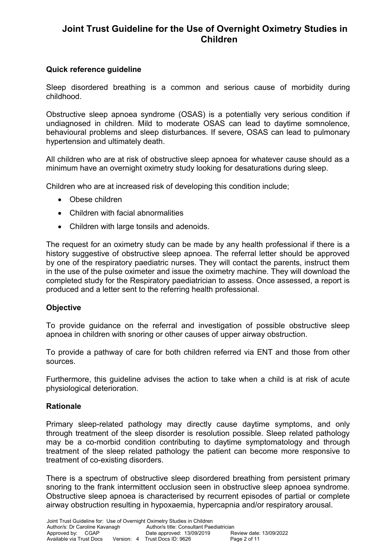### **Quick reference guideline**

Sleep disordered breathing is a common and serious cause of morbidity during childhood.

Obstructive sleep apnoea syndrome (OSAS) is a potentially very serious condition if undiagnosed in children. Mild to moderate OSAS can lead to daytime somnolence, behavioural problems and sleep disturbances. If severe, OSAS can lead to pulmonary hypertension and ultimately death.

All children who are at risk of obstructive sleep apnoea for whatever cause should as a minimum have an overnight oximetry study looking for desaturations during sleep.

Children who are at increased risk of developing this condition include;

- Obese children
- Children with facial abnormalities
- Children with large tonsils and adenoids.

The request for an oximetry study can be made by any health professional if there is a history suggestive of obstructive sleep apnoea. The referral letter should be approved by one of the respiratory paediatric nurses. They will contact the parents, instruct them in the use of the pulse oximeter and issue the oximetry machine. They will download the completed study for the Respiratory paediatrician to assess. Once assessed, a report is produced and a letter sent to the referring health professional.

#### **Objective**

To provide guidance on the referral and investigation of possible obstructive sleep apnoea in children with snoring or other causes of upper airway obstruction.

To provide a pathway of care for both children referred via ENT and those from other sources.

Furthermore, this guideline advises the action to take when a child is at risk of acute physiological deterioration.

#### **Rationale**

Primary sleep-related pathology may directly cause daytime symptoms, and only through treatment of the sleep disorder is resolution possible. Sleep related pathology may be a co-morbid condition contributing to daytime symptomatology and through treatment of the sleep related pathology the patient can become more responsive to treatment of co-existing disorders.

There is a spectrum of obstructive sleep disordered breathing from persistent primary snoring to the frank intermittent occlusion seen in obstructive sleep apnoea syndrome. Obstructive sleep apnoea is characterised by recurrent episodes of partial or complete airway obstruction resulting in hypoxaemia, hypercapnia and/or respiratory arousal.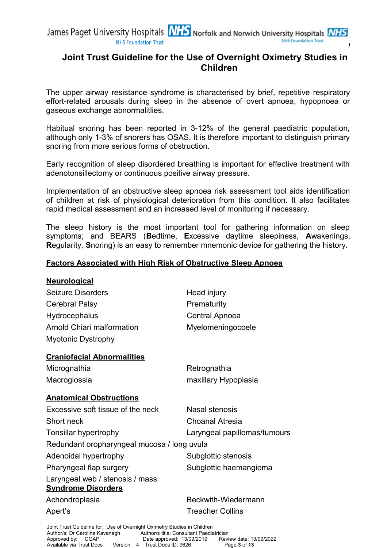The upper airway resistance syndrome is characterised by brief, repetitive respiratory effort-related arousals during sleep in the absence of overt apnoea, hypopnoea or gaseous exchange abnormalitlies.

Habitual snoring has been reported in 3-12% of the general paediatric population, although only 1-3% of snorers has OSAS. It is therefore important to distinguish primary snoring from more serious forms of obstruction.

Early recognition of sleep disordered breathing is important for effective treatment with adenotonsillectomy or continuous positive airway pressure.

Implementation of an obstructive sleep apnoea risk assessment tool aids identification of children at risk of physiological deterioration from this condition. It also facilitates rapid medical assessment and an increased level of monitoring if necessary.

The sleep history is the most important tool for gathering information on sleep symptoms; and BEARS (**B**edtime, **E**xcessive daytime sleepiness, **A**wakenings, **R**egularity, **S**noring) is an easy to remember mnemonic device for gathering the history.

### **Factors Associated with High Risk of Obstructive Sleep Apnoea**

| <b>Neurological</b>                                                      |                              |
|--------------------------------------------------------------------------|------------------------------|
| <b>Seizure Disorders</b>                                                 | Head injury                  |
| <b>Cerebral Palsy</b>                                                    | Prematurity                  |
| Hydrocephalus                                                            | Central Apnoea               |
| <b>Arnold Chiari malformation</b>                                        | Myelomeningocoele            |
| <b>Myotonic Dystrophy</b>                                                |                              |
| <b>Craniofacial Abnormalities</b>                                        |                              |
| Micrognathia                                                             | Retrognathia                 |
| Macroglossia                                                             | maxillary Hypoplasia         |
| <b>Anatomical Obstructions</b>                                           |                              |
| Excessive soft tissue of the neck                                        | Nasal stenosis               |
| Short neck                                                               | <b>Choanal Atresia</b>       |
| Tonsillar hypertrophy                                                    | Laryngeal papillomas/tumours |
| Redundant oropharyngeal mucosa / long uvula                              |                              |
| Adenoidal hypertrophy                                                    | Subglottic stenosis          |
| Pharyngeal flap surgery                                                  | Subglottic haemangioma       |
| Laryngeal web / stenosis / mass<br><b>Syndrome Disorders</b>             |                              |
| Achondroplasia                                                           | Beckwith-Wiedermann          |
| Apert's                                                                  | <b>Treacher Collins</b>      |
| Joint Trust Guideline for: Use of Overnight Oximetry Studies in Children |                              |

Author/s: Dr Caroline Kavanagh Author/s title: Consultant Paediatrician<br>Approved by: CGAP Date approved: 13/09/2019 Revi

Approved by: CGAP Date approved: 13/09/2019 Review date: 13/09/2022<br>Available via Trust Docs Version: 4 Trust Docs ID: 9626 Page 3 of 13 Version: 4 Trust Docs ID: 9626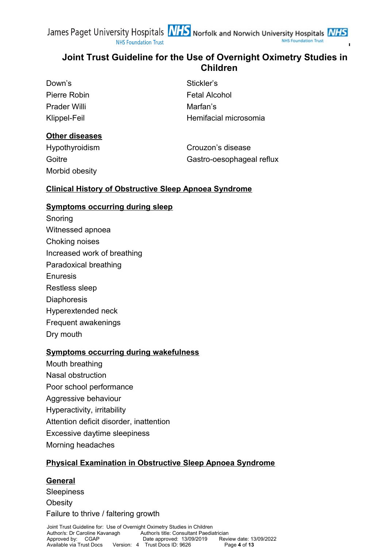**NHS Foundation Trust** 

| Stickler's            |
|-----------------------|
| <b>Fetal Alcohol</b>  |
| Marfan's              |
| Hemifacial microsomia |
|                       |

### **Other diseases**

| Hypothyroidism | Crouzon's disease         |
|----------------|---------------------------|
| Goitre         | Gastro-oesophageal reflux |
| Morbid obesity |                           |

### **Clinical History of Obstructive Sleep Apnoea Syndrome**

### **Symptoms occurring during sleep**

Snoring Witnessed apnoea Choking noises Increased work of breathing Paradoxical breathing Enuresis Restless sleep **Diaphoresis** Hyperextended neck Frequent awakenings Dry mouth

### **Symptoms occurring during wakefulness**

- Mouth breathing
- Nasal obstruction
- Poor school performance
- Aggressive behaviour
- Hyperactivity, irritability
- Attention deficit disorder, inattention
- Excessive daytime sleepiness
- Morning headaches

## **Physical Examination in Obstructive Sleep Apnoea Syndrome**

### **General**

Sleepiness

**Obesity** 

Failure to thrive / faltering growth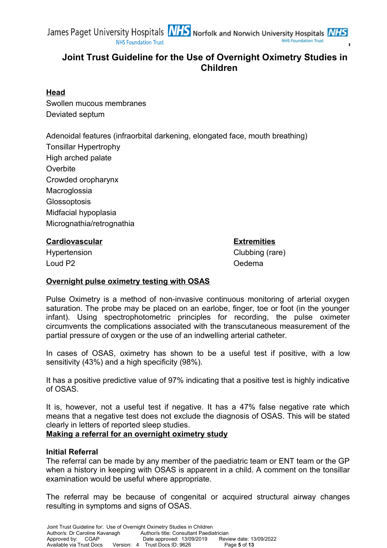

### **Head**

Swollen mucous membranes Deviated septum

Adenoidal features (infraorbital darkening, elongated face, mouth breathing) Tonsillar Hypertrophy High arched palate **Overbite** Crowded oropharynx **Macroglossia Glossoptosis** Midfacial hypoplasia Micrognathia/retrognathia

### **Cardiovascular Extremities**

Hypertension Clubbing (rare)

Loud P2 Oedema

**Overnight pulse oximetry testing with OSAS**

Pulse Oximetry is a method of non-invasive continuous monitoring of arterial oxygen saturation. The probe may be placed on an earlobe, finger, toe or foot (in the younger infant). Using spectrophotometric principles for recording, the pulse oximeter circumvents the complications associated with the transcutaneous measurement of the partial pressure of oxygen or the use of an indwelling arterial catheter.

In cases of OSAS, oximetry has shown to be a useful test if positive, with a low sensitivity (43%) and a high specificity (98%).

It has a positive predictive value of 97% indicating that a positive test is highly indicative of OSAS.

It is, however, not a useful test if negative. It has a 47% false negative rate which means that a negative test does not exclude the diagnosis of OSAS. This will be stated clearly in letters of reported sleep studies.

**Making a referral for an overnight oximetry study**

### **Initial Referral**

The referral can be made by any member of the paediatric team or ENT team or the GP when a history in keeping with OSAS is apparent in a child. A comment on the tonsillar examination would be useful where appropriate.

The referral may be because of congenital or acquired structural airway changes resulting in symptoms and signs of OSAS.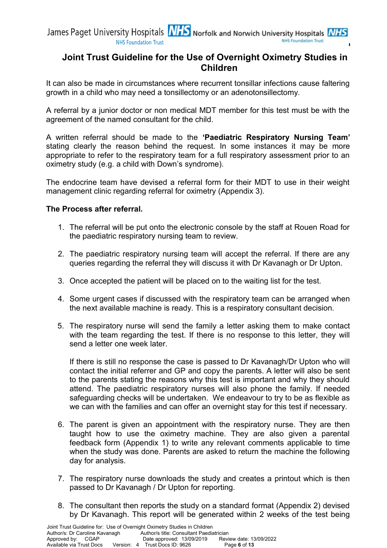It can also be made in circumstances where recurrent tonsillar infections cause faltering growth in a child who may need a tonsillectomy or an adenotonsillectomy.

A referral by a junior doctor or non medical MDT member for this test must be with the agreement of the named consultant for the child.

A written referral should be made to the **'Paediatric Respiratory Nursing Team'** stating clearly the reason behind the request. In some instances it may be more appropriate to refer to the respiratory team for a full respiratory assessment prior to an oximetry study (e.g. a child with Down's syndrome).

The endocrine team have devised a referral form for their MDT to use in their weight management clinic regarding referral for oximetry (Appendix 3).

### **The Process after referral.**

- 1. The referral will be put onto the electronic console by the staff at Rouen Road for the paediatric respiratory nursing team to review.
- 2. The paediatric respiratory nursing team will accept the referral. If there are any queries regarding the referral they will discuss it with Dr Kavanagh or Dr Upton.
- 3. Once accepted the patient will be placed on to the waiting list for the test.
- 4. Some urgent cases if discussed with the respiratory team can be arranged when the next available machine is ready. This is a respiratory consultant decision.
- 5. The respiratory nurse will send the family a letter asking them to make contact with the team regarding the test. If there is no response to this letter, they will send a letter one week later.

If there is still no response the case is passed to Dr Kavanagh/Dr Upton who will contact the initial referrer and GP and copy the parents. A letter will also be sent to the parents stating the reasons why this test is important and why they should attend. The paediatric respiratory nurses will also phone the family. If needed safeguarding checks will be undertaken. We endeavour to try to be as flexible as we can with the families and can offer an overnight stay for this test if necessary.

- 6. The parent is given an appointment with the respiratory nurse. They are then taught how to use the oximetry machine. They are also given a parental feedback form (Appendix 1) to write any relevant comments applicable to time when the study was done. Parents are asked to return the machine the following day for analysis.
- 7. The respiratory nurse downloads the study and creates a printout which is then passed to Dr Kavanagh / Dr Upton for reporting.
- 8. The consultant then reports the study on a standard format (Appendix 2) devised by Dr Kavanagh. This report will be generated within 2 weeks of the test being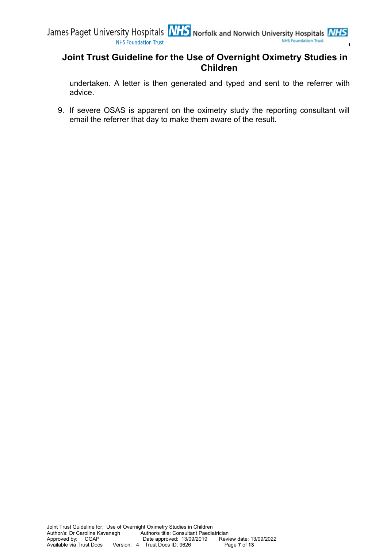undertaken. A letter is then generated and typed and sent to the referrer with advice.

9. If severe OSAS is apparent on the oximetry study the reporting consultant will email the referrer that day to make them aware of the result.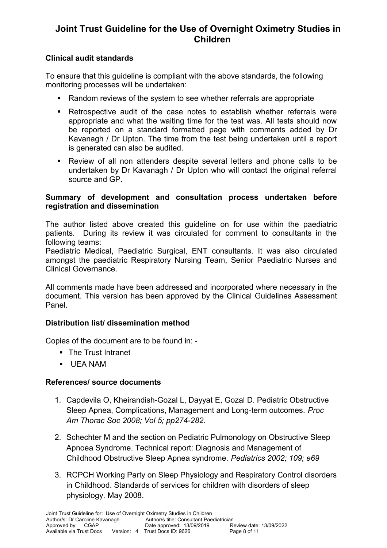### **Clinical audit standards**

To ensure that this guideline is compliant with the above standards, the following monitoring processes will be undertaken:

- Random reviews of the system to see whether referrals are appropriate
- Retrospective audit of the case notes to establish whether referrals were appropriate and what the waiting time for the test was. All tests should now be reported on a standard formatted page with comments added by Dr Kavanagh / Dr Upton. The time from the test being undertaken until a report is generated can also be audited.
- Review of all non attenders despite several letters and phone calls to be undertaken by Dr Kavanagh / Dr Upton who will contact the original referral source and GP.

### **Summary of development and consultation process undertaken before registration and dissemination**

The author listed above created this guideline on for use within the paediatric patients. During its review it was circulated for comment to consultants in the following teams:

Paediatric Medical, Paediatric Surgical, ENT consultants. It was also circulated amongst the paediatric Respiratory Nursing Team, Senior Paediatric Nurses and Clinical Governance.

All comments made have been addressed and incorporated where necessary in the document. This version has been approved by the Clinical Guidelines Assessment Panel.

### **Distribution list/ dissemination method**

Copies of the document are to be found in: -

- **The Trust Intranet**
- UEA NAM

### **References/ source documents**

- 1. Capdevila O, Kheirandish-Gozal L, Dayyat E, Gozal D. Pediatric Obstructive Sleep Apnea, Complications, Management and Long-term outcomes. *Proc Am Thorac Soc 2008; Vol 5; pp274-282.*
- 2. Schechter M and the section on Pediatric Pulmonology on Obstructive Sleep Apnoea Syndrome. Technical report: Diagnosis and Management of Childhood Obstructive Sleep Apnea syndrome. *Pediatrics 2002; 109; e69*
- 3. RCPCH Working Party on Sleep Physiology and Respiratory Control disorders in Childhood. Standards of services for children with disorders of sleep physiology. May 2008.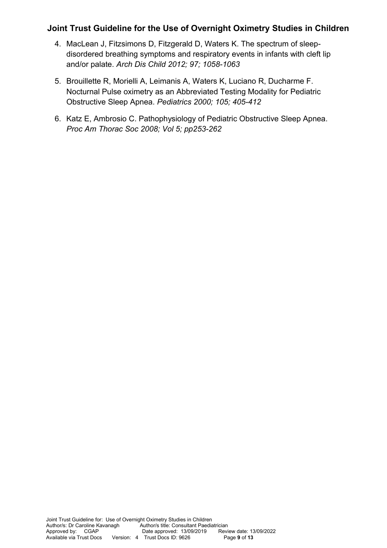- 4. MacLean J, Fitzsimons D, Fitzgerald D, Waters K. The spectrum of sleepdisordered breathing symptoms and respiratory events in infants with cleft lip and/or palate. *Arch Dis Child 2012; 97; 1058-1063*
- 5. Brouillette R, Morielli A, Leimanis A, Waters K, Luciano R, Ducharme F. Nocturnal Pulse oximetry as an Abbreviated Testing Modality for Pediatric Obstructive Sleep Apnea. *Pediatrics 2000; 105; 405-412*
- 6. Katz E, Ambrosio C. Pathophysiology of Pediatric Obstructive Sleep Apnea. *Proc Am Thorac Soc 2008; Vol 5; pp253-262*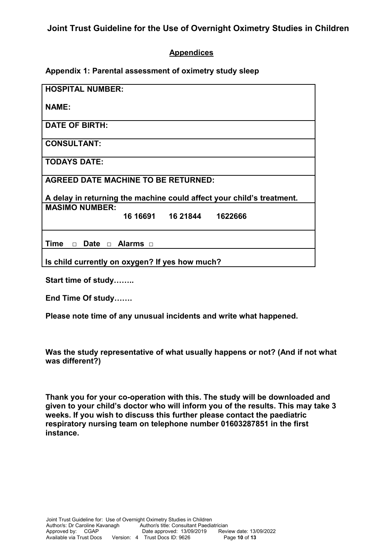### **Appendices**

**Appendix 1: Parental assessment of oximetry study sleep**

| <b>HOSPITAL NUMBER:</b>                                               |
|-----------------------------------------------------------------------|
| <b>NAME:</b>                                                          |
| <b>DATE OF BIRTH:</b>                                                 |
| <b>CONSULTANT:</b>                                                    |
| <b>TODAYS DATE:</b>                                                   |
| <b>AGREED DATE MACHINE TO BE RETURNED:</b>                            |
| A delay in returning the machine could affect your child's treatment. |
| <b>MASIMO NUMBER:</b>                                                 |
| 16 16691  16 21844  1622666                                           |
| Time $\Box$ Date $\Box$ Alarms $\Box$                                 |
| Is child currently on oxygen? If yes how much?                        |

**Start time of study……..**

**End Time Of study…….**

**Please note time of any unusual incidents and write what happened.**

**Was the study representative of what usually happens or not? (And if not what was different?)** 

**Thank you for your co-operation with this. The study will be downloaded and given to your child's doctor who will inform you of the results. This may take 3 weeks. If you wish to discuss this further please contact the paediatric respiratory nursing team on telephone number 01603287851 in the first instance.**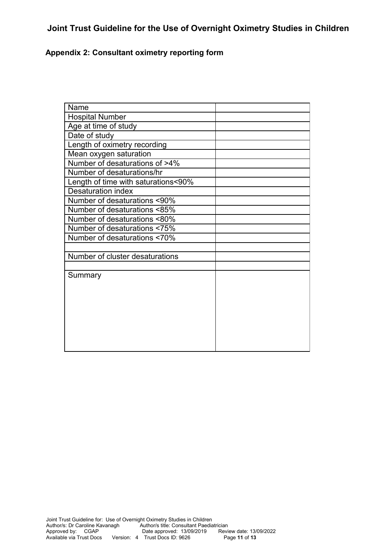## **Appendix 2: Consultant oximetry reporting form**

| Name                                |  |
|-------------------------------------|--|
| <b>Hospital Number</b>              |  |
| Age at time of study                |  |
| Date of study                       |  |
| Length of oximetry recording        |  |
| Mean oxygen saturation              |  |
| Number of desaturations of >4%      |  |
| Number of desaturations/hr          |  |
| Length of time with saturations<90% |  |
| Desaturation index                  |  |
| Number of desaturations <90%        |  |
| Number of desaturations <85%        |  |
| Number of desaturations <80%        |  |
| Number of desaturations <75%        |  |
| Number of desaturations <70%        |  |
|                                     |  |
| Number of cluster desaturations     |  |
|                                     |  |
| Summary                             |  |
|                                     |  |
|                                     |  |
|                                     |  |
|                                     |  |
|                                     |  |
|                                     |  |
|                                     |  |
|                                     |  |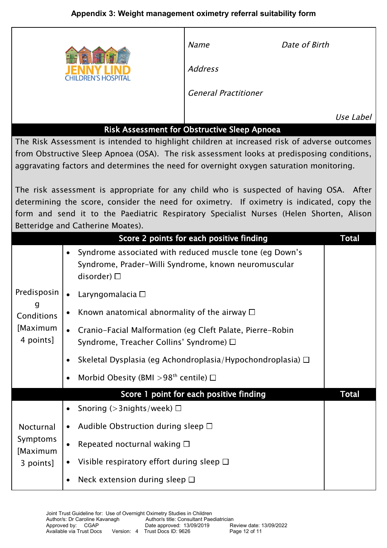# **Appendix 3: Weight management oximetry referral suitability form**

|                                                                                                                                                                                                                                                                                      |                                                                                                                                                                                                                                                                                                                     | <b>Name</b><br><b>Address</b><br><b>General Practitioner</b> | Date of Birth |  |
|--------------------------------------------------------------------------------------------------------------------------------------------------------------------------------------------------------------------------------------------------------------------------------------|---------------------------------------------------------------------------------------------------------------------------------------------------------------------------------------------------------------------------------------------------------------------------------------------------------------------|--------------------------------------------------------------|---------------|--|
|                                                                                                                                                                                                                                                                                      |                                                                                                                                                                                                                                                                                                                     | Risk Assessment for Obstructive Sleep Apnoea                 | Use Label     |  |
| The Risk Assessment is intended to highlight children at increased risk of adverse outcomes<br>from Obstructive Sleep Apnoea (OSA). The risk assessment looks at predisposing conditions,<br>aggravating factors and determines the need for overnight oxygen saturation monitoring. |                                                                                                                                                                                                                                                                                                                     |                                                              |               |  |
|                                                                                                                                                                                                                                                                                      | The risk assessment is appropriate for any child who is suspected of having OSA. After<br>determining the score, consider the need for oximetry. If oximetry is indicated, copy the<br>form and send it to the Paediatric Respiratory Specialist Nurses (Helen Shorten, Alison<br>Betteridge and Catherine Moates). |                                                              |               |  |
|                                                                                                                                                                                                                                                                                      |                                                                                                                                                                                                                                                                                                                     | Score 2 points for each positive finding                     | <b>Total</b>  |  |
|                                                                                                                                                                                                                                                                                      | Syndrome associated with reduced muscle tone (eg Down's<br>$\bullet$<br>Syndrome, Prader-Willi Syndrome, known neuromuscular<br>disorder) $\Box$                                                                                                                                                                    |                                                              |               |  |
| Predisposin                                                                                                                                                                                                                                                                          | Laryngomalacia $\Box$<br>$\bullet$                                                                                                                                                                                                                                                                                  |                                                              |               |  |
| Conditions                                                                                                                                                                                                                                                                           | Known anatomical abnormality of the airway $\Box$                                                                                                                                                                                                                                                                   |                                                              |               |  |
| [Maximum<br>4 points]                                                                                                                                                                                                                                                                | Cranio-Facial Malformation (eg Cleft Palate, Pierre-Robin<br>$\bullet$<br>Syndrome, Treacher Collins' Syndrome) □                                                                                                                                                                                                   |                                                              |               |  |
|                                                                                                                                                                                                                                                                                      | Skeletal Dysplasia (eg Achondroplasia/Hypochondroplasia) $\Box$<br>$\bullet$                                                                                                                                                                                                                                        |                                                              |               |  |
|                                                                                                                                                                                                                                                                                      | Morbid Obesity (BMI > 98 <sup>th</sup> centile) $\Box$<br>$\bullet$                                                                                                                                                                                                                                                 |                                                              |               |  |
|                                                                                                                                                                                                                                                                                      |                                                                                                                                                                                                                                                                                                                     | Score 1 point for each positive finding                      | <b>Total</b>  |  |
|                                                                                                                                                                                                                                                                                      | Snoring ( $>$ 3nights/week) $\Box$<br>$\bullet$                                                                                                                                                                                                                                                                     |                                                              |               |  |
| Nocturnal<br>Symptoms<br>[Maximum                                                                                                                                                                                                                                                    | Audible Obstruction during sleep $\Box$<br>$\bullet$                                                                                                                                                                                                                                                                |                                                              |               |  |
|                                                                                                                                                                                                                                                                                      | Repeated nocturnal waking $\square$                                                                                                                                                                                                                                                                                 |                                                              |               |  |
| 3 points]                                                                                                                                                                                                                                                                            | Visible respiratory effort during sleep $\Box$<br>$\bullet$                                                                                                                                                                                                                                                         |                                                              |               |  |
|                                                                                                                                                                                                                                                                                      | Neck extension during sleep $\square$<br>$\bullet$                                                                                                                                                                                                                                                                  |                                                              |               |  |